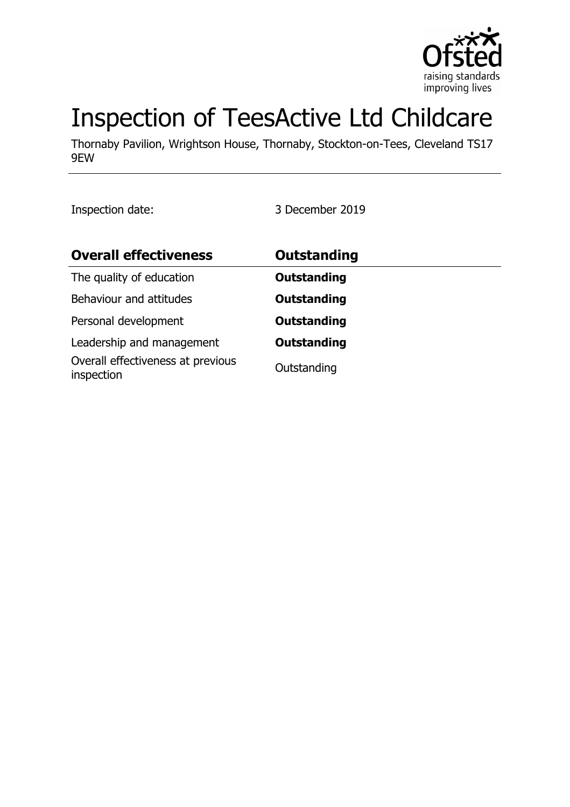

# Inspection of TeesActive Ltd Childcare

Thornaby Pavilion, Wrightson House, Thornaby, Stockton-on-Tees, Cleveland TS17 9EW

Inspection date: 3 December 2019

| <b>Overall effectiveness</b>                    | <b>Outstanding</b> |
|-------------------------------------------------|--------------------|
| The quality of education                        | <b>Outstanding</b> |
| Behaviour and attitudes                         | <b>Outstanding</b> |
| Personal development                            | <b>Outstanding</b> |
| Leadership and management                       | <b>Outstanding</b> |
| Overall effectiveness at previous<br>inspection | Outstanding        |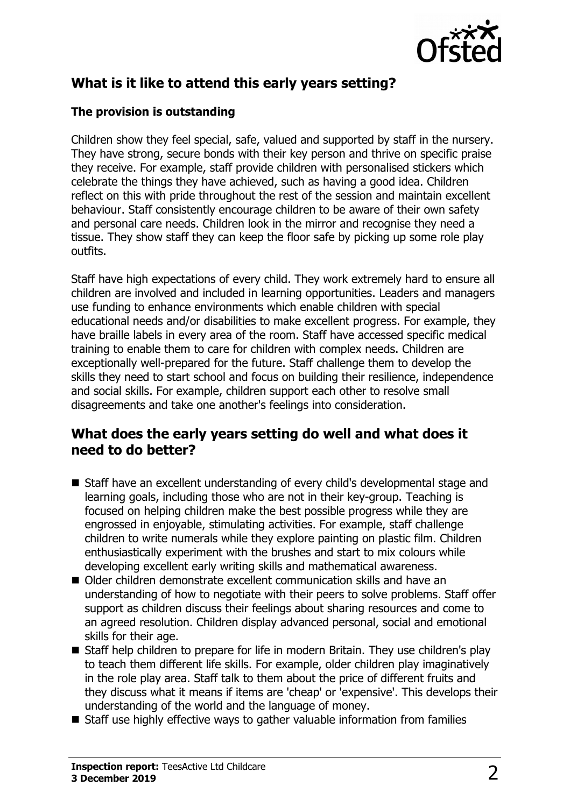

# **What is it like to attend this early years setting?**

#### **The provision is outstanding**

Children show they feel special, safe, valued and supported by staff in the nursery. They have strong, secure bonds with their key person and thrive on specific praise they receive. For example, staff provide children with personalised stickers which celebrate the things they have achieved, such as having a good idea. Children reflect on this with pride throughout the rest of the session and maintain excellent behaviour. Staff consistently encourage children to be aware of their own safety and personal care needs. Children look in the mirror and recognise they need a tissue. They show staff they can keep the floor safe by picking up some role play outfits.

Staff have high expectations of every child. They work extremely hard to ensure all children are involved and included in learning opportunities. Leaders and managers use funding to enhance environments which enable children with special educational needs and/or disabilities to make excellent progress. For example, they have braille labels in every area of the room. Staff have accessed specific medical training to enable them to care for children with complex needs. Children are exceptionally well-prepared for the future. Staff challenge them to develop the skills they need to start school and focus on building their resilience, independence and social skills. For example, children support each other to resolve small disagreements and take one another's feelings into consideration.

### **What does the early years setting do well and what does it need to do better?**

- Staff have an excellent understanding of every child's developmental stage and learning goals, including those who are not in their key-group. Teaching is focused on helping children make the best possible progress while they are engrossed in enjoyable, stimulating activities. For example, staff challenge children to write numerals while they explore painting on plastic film. Children enthusiastically experiment with the brushes and start to mix colours while developing excellent early writing skills and mathematical awareness.
- Older children demonstrate excellent communication skills and have an understanding of how to negotiate with their peers to solve problems. Staff offer support as children discuss their feelings about sharing resources and come to an agreed resolution. Children display advanced personal, social and emotional skills for their age.
- Staff help children to prepare for life in modern Britain. They use children's play to teach them different life skills. For example, older children play imaginatively in the role play area. Staff talk to them about the price of different fruits and they discuss what it means if items are 'cheap' or 'expensive'. This develops their understanding of the world and the language of money.
- $\blacksquare$  Staff use highly effective ways to gather valuable information from families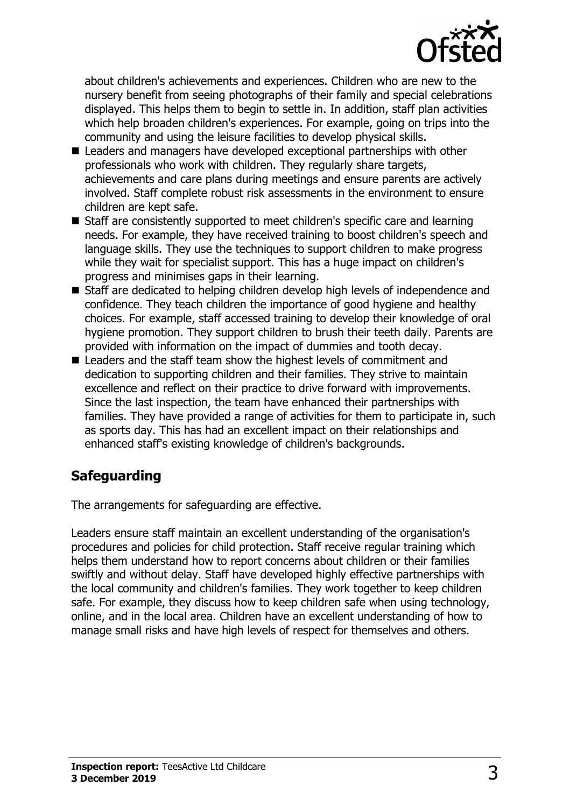

about children's achievements and experiences. Children who are new to the nursery benefit from seeing photographs of their family and special celebrations displayed. This helps them to begin to settle in. In addition, staff plan activities which help broaden children's experiences. For example, going on trips into the community and using the leisure facilities to develop physical skills.

- $\blacksquare$  Leaders and managers have developed exceptional partnerships with other professionals who work with children. They regularly share targets, achievements and care plans during meetings and ensure parents are actively involved. Staff complete robust risk assessments in the environment to ensure children are kept safe.
- Staff are consistently supported to meet children's specific care and learning needs. For example, they have received training to boost children's speech and language skills. They use the techniques to support children to make progress while they wait for specialist support. This has a huge impact on children's progress and minimises gaps in their learning.
- Staff are dedicated to helping children develop high levels of independence and confidence. They teach children the importance of good hygiene and healthy choices. For example, staff accessed training to develop their knowledge of oral hygiene promotion. They support children to brush their teeth daily. Parents are provided with information on the impact of dummies and tooth decay.
- $\blacksquare$  Leaders and the staff team show the highest levels of commitment and dedication to supporting children and their families. They strive to maintain excellence and reflect on their practice to drive forward with improvements. Since the last inspection, the team have enhanced their partnerships with families. They have provided a range of activities for them to participate in, such as sports day. This has had an excellent impact on their relationships and enhanced staff's existing knowledge of children's backgrounds.

## **Safeguarding**

The arrangements for safeguarding are effective.

Leaders ensure staff maintain an excellent understanding of the organisation's procedures and policies for child protection. Staff receive regular training which helps them understand how to report concerns about children or their families swiftly and without delay. Staff have developed highly effective partnerships with the local community and children's families. They work together to keep children safe. For example, they discuss how to keep children safe when using technology, online, and in the local area. Children have an excellent understanding of how to manage small risks and have high levels of respect for themselves and others.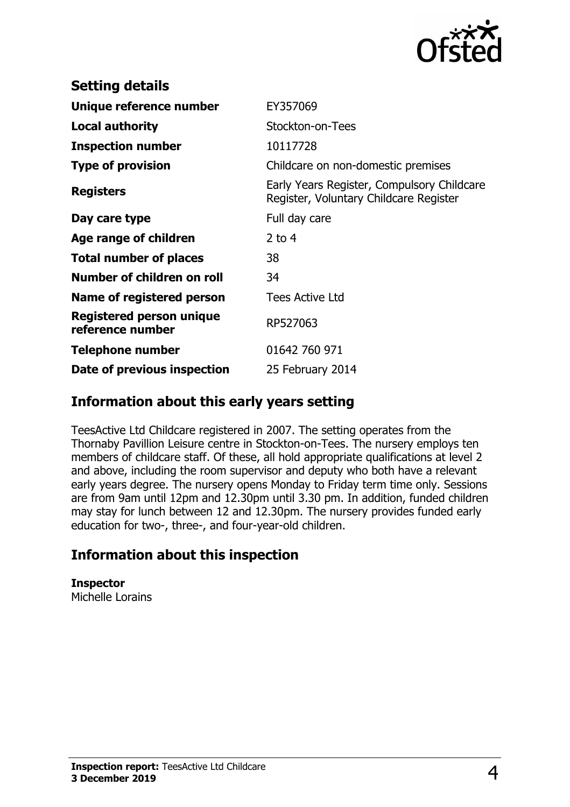

| <b>Setting details</b>                              |                                                                                      |
|-----------------------------------------------------|--------------------------------------------------------------------------------------|
| Unique reference number                             | EY357069                                                                             |
| <b>Local authority</b>                              | Stockton-on-Tees                                                                     |
| <b>Inspection number</b>                            | 10117728                                                                             |
| <b>Type of provision</b>                            | Childcare on non-domestic premises                                                   |
| <b>Registers</b>                                    | Early Years Register, Compulsory Childcare<br>Register, Voluntary Childcare Register |
| Day care type                                       | Full day care                                                                        |
| Age range of children                               | 2 to $4$                                                                             |
| <b>Total number of places</b>                       | 38                                                                                   |
| Number of children on roll                          | 34                                                                                   |
| Name of registered person                           | <b>Tees Active Ltd</b>                                                               |
| <b>Registered person unique</b><br>reference number | RP527063                                                                             |
| Telephone number                                    | 01642 760 971                                                                        |
| Date of previous inspection                         | 25 February 2014                                                                     |

### **Information about this early years setting**

TeesActive Ltd Childcare registered in 2007. The setting operates from the Thornaby Pavillion Leisure centre in Stockton-on-Tees. The nursery employs ten members of childcare staff. Of these, all hold appropriate qualifications at level 2 and above, including the room supervisor and deputy who both have a relevant early years degree. The nursery opens Monday to Friday term time only. Sessions are from 9am until 12pm and 12.30pm until 3.30 pm. In addition, funded children may stay for lunch between 12 and 12.30pm. The nursery provides funded early education for two-, three-, and four-year-old children.

## **Information about this inspection**

**Inspector** Michelle Lorains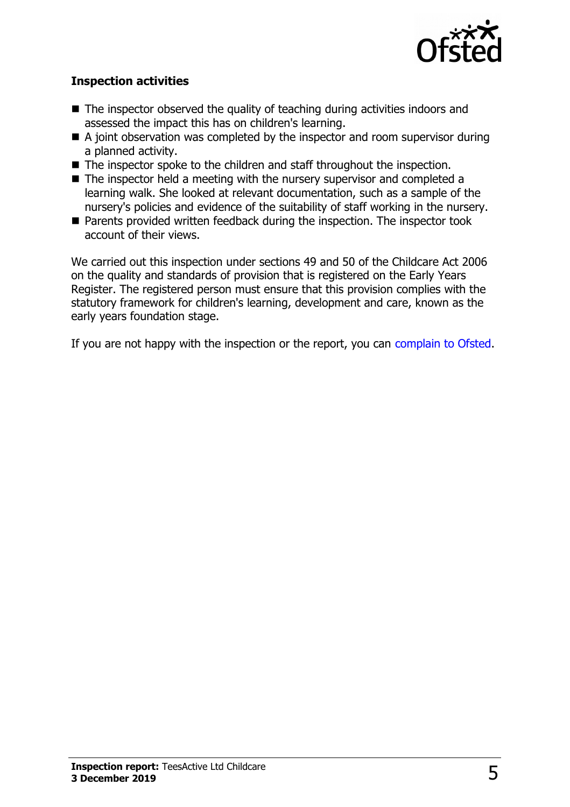

#### **Inspection activities**

- $\blacksquare$  The inspector observed the quality of teaching during activities indoors and assessed the impact this has on children's learning.
- $\blacksquare$  A joint observation was completed by the inspector and room supervisor during a planned activity.
- $\blacksquare$  The inspector spoke to the children and staff throughout the inspection.
- $\blacksquare$  The inspector held a meeting with the nursery supervisor and completed a learning walk. She looked at relevant documentation, such as a sample of the nursery's policies and evidence of the suitability of staff working in the nursery.
- Parents provided written feedback during the inspection. The inspector took account of their views.

We carried out this inspection under sections 49 and 50 of the Childcare Act 2006 on the quality and standards of provision that is registered on the Early Years Register. The registered person must ensure that this provision complies with the statutory framework for children's learning, development and care, known as the early years foundation stage.

If you are not happy with the inspection or the report, you can [complain to Ofsted.](http://www.gov.uk/complain-ofsted-report)